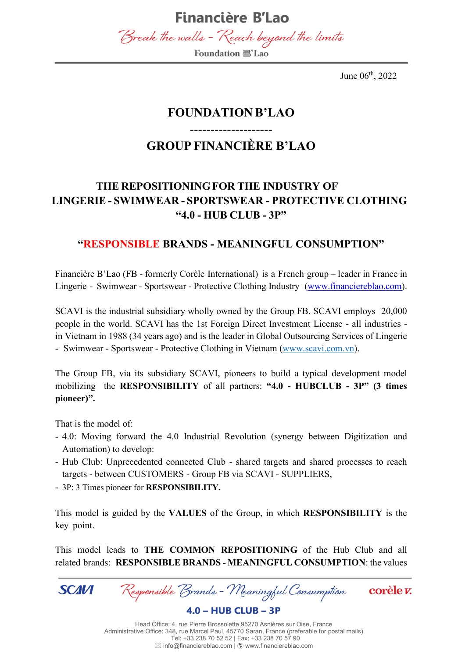

June 06<sup>th</sup>, 2022

### **FOUNDATION B'LAO**

### **GROUP FINANCIÈRE B'LAO**

--------------------

### **THE REPOSITIONINGFOR THE INDUSTRY OF LINGERIE - SWIMWEAR - SPORTSWEAR - PROTECTIVE CLOTHING "4.0 - HUB CLUB - 3P"**

#### **"RESPONSIBLE BRANDS - MEANINGFUL CONSUMPTION"**

Financière B'Lao (FB - formerly Corèle International) is a French group – leader in France in Lingerie - Swimwear - Sportswear - Protective Clothing Industry [\(www.financiereblao.com\)](http://www.financiereblao.com/).

SCAVI is the industrial subsidiary wholly owned by the Group FB. SCAVI employs 20,000 people in the world. SCAVI has the 1st Foreign Direct Investment License - all industries in Vietnam in 1988 (34 years ago) and is the leader in Global Outsourcing Services of Lingerie - Swimwear - Sportswear - Protective Clothing in Vietnam [\(www.scavi.com.vn\)](http://www.scavi.com.vn/).

The Group FB, via its subsidiary SCAVI, pioneers to build a typical development model mobilizing the **RESPONSIBILITY** of all partners: **"4.0 - HUBCLUB - 3P" (3 times pioneer)".**

That is the model of:

- 4.0: Moving forward the 4.0 Industrial Revolution (synergy between Digitization and Automation) to develop:
- Hub Club: Unprecedented connected Club shared targets and shared processes to reach targets - between CUSTOMERS - Group FB via SCAVI - SUPPLIERS,
- 3P: 3 Times pioneer for **RESPONSIBILITY.**

This model is guided by the **VALUES** of the Group, in which **RESPONSIBILITY** is the key point.

This model leads to **THE COMMON REPOSITIONING** of the Hub Club and all related brands: **RESPONSIBLE BRANDS - MEANINGFUL CONSUMPTION**: the values

**SCAVI** 

Responsible Brands - Meaningful Consumption

corèle v.

 $4.0 - HUB CLUB - 3P$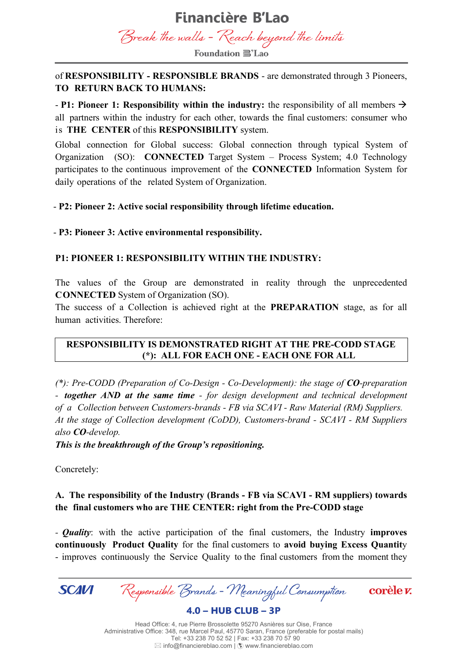

**Foundation ■**'Lao

#### of **RESPONSIBILITY - RESPONSIBLE BRANDS** - are demonstrated through 3 Pioneers, **TO RETURN BACK TO HUMANS:**

- **P1: Pioneer 1: Responsibility within the industry:** the responsibility of all members → all partners within the industry for each other, towards the final customers: consumer who is **THE CENTER** of this **RESPONSIBILITY** system.

Global connection for Global success: Global connection through typical System of Organization (SO): **CONNECTED** Target System – Process System; 4.0 Technology participates to the continuous improvement of the **CONNECTED** Information System for daily operations of the related System of Organization.

- **P2: Pioneer 2: Active social responsibility through lifetime education.**

- **P3: Pioneer 3: Active environmental responsibility.**

#### **P1: PIONEER 1: RESPONSIBILITY WITHIN THE INDUSTRY:**

The values of the Group are demonstrated in reality through the unprecedented **CONNECTED** System of Organization (SO).

The success of a Collection is achieved right at the **PREPARATION** stage, as for all human activities. Therefore:

#### **RESPONSIBILITY IS DEMONSTRATED RIGHT AT THE PRE-CODD STAGE (\*): ALL FOR EACH ONE - EACH ONE FOR ALL**

*(\*): Pre-CODD (Preparation of Co-Design - Co-Development): the stage of CO-preparation - together AND at the same time - for design development and technical development of a Collection between Customers-brands - FB via SCAVI - Raw Material (RM) Suppliers. At the stage of Collection development (CoDD), Customers-brand - SCAVI - RM Suppliers also CO-develop.*

*This is the breakthrough of the Group's repositioning.*

Concretely:

#### **A. The responsibility of the Industry (Brands - FB via SCAVI - RM suppliers) towards the final customers who are THE CENTER: right from the Pre-CODD stage**

*- Quality*: with the active participation of the final customers, the Industry **improves continuously Product Quality** for the final customers to **avoid buying Excess Quantit**y - improves continuously the Service Quality to the final customers from the moment they



Responsible Brands - Meaningful Consumption

corèle v.

 $4.0 - HUB CLUB - 3P$ 

Head Office: 4, rue Pierre Brossolette 95270 Asnières sur Oise, France Administrative Office: 348, rue Marcel Paul, 45770 Saran, France (preferable for postal mails) Tel: +33 238 70 52 52 | Fax: +33 238 70 57 90  $\boxtimes$  info@financiereblao.com  $|$   $\hat{\textbf{F}}$  www.financiereblao.com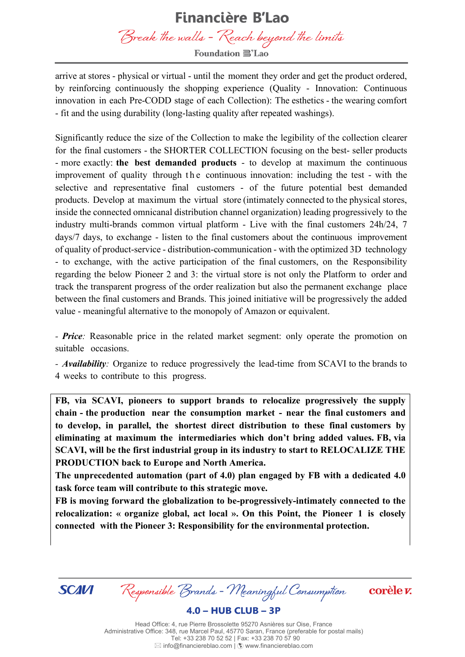Break the walls - Reach beyond the limits **Foundation ■ Lao** 

arrive at stores - physical or virtual - until the moment they order and get the product ordered, by reinforcing continuously the shopping experience (Quality - Innovation: Continuous innovation in each Pre-CODD stage of each Collection): The esthetics - the wearing comfort - fit and the using durability (long-lasting quality after repeated washings).

Significantly reduce the size of the Collection to make the legibility of the collection clearer for the final customers - the SHORTER COLLECTION focusing on the best- seller products - more exactly: **the best demanded products** - to develop at maximum the continuous improvement of quality through the continuous innovation: including the test - with the selective and representative final customers - of the future potential best demanded products. Develop at maximum the virtual store (intimately connected to the physical stores, inside the connected omnicanal distribution channel organization) leading progressively to the industry multi-brands common virtual platform - Live with the final customers 24h/24, 7 days/7 days, to exchange - listen to the final customers about the continuous improvement of quality of product-service - distribution-communication - with the optimized 3D technology - to exchange, with the active participation of the final customers, on the Responsibility regarding the below Pioneer 2 and 3: the virtual store is not only the Platform to order and track the transparent progress of the order realization but also the permanent exchange place between the final customers and Brands. This joined initiative will be progressively the added value - meaningful alternative to the monopoly of Amazon or equivalent.

*- Price:* Reasonable price in the related market segment: only operate the promotion on suitable occasions.

*- Availability:* Organize to reduce progressively the lead-time from SCAVI to the brands to 4 weeks to contribute to this progress.

**FB, via SCAVI, pioneers to support brands to relocalize progressively the supply chain - the production near the consumption market - near the final customers and to develop, in parallel, the shortest direct distribution to these final customers by eliminating at maximum the intermediaries which don't bring added values. FB, via SCAVI, will be the first industrial group in its industry to start to RELOCALIZE THE PRODUCTION back to Europe and North America.**

**The unprecedented automation (part of 4.0) plan engaged by FB with a dedicated 4.0 task force team will contribute to this strategic move.**

**FB is moving forward the globalization to be-progressively-intimately connected to the relocalization: « organize global, act local ». On this Point, the Pioneer 1 is closely connected with the Pioneer 3: Responsibility for the environmental protection.**



Responsible Brands - Meaningful Consumption

corèle v.

 $4.0 - HUB CLUB - 3P$ 

Head Office: 4, rue Pierre Brossolette 95270 Asnières sur Oise, France Administrative Office: 348, rue Marcel Paul, 45770 Saran, France (preferable for postal mails) Tel: +33 238 70 52 52 | Fax: +33 238 70 57 90  $\boxtimes$  info@financiereblao.com  $|$   $\ddot{\odot}$  www.financiereblao.com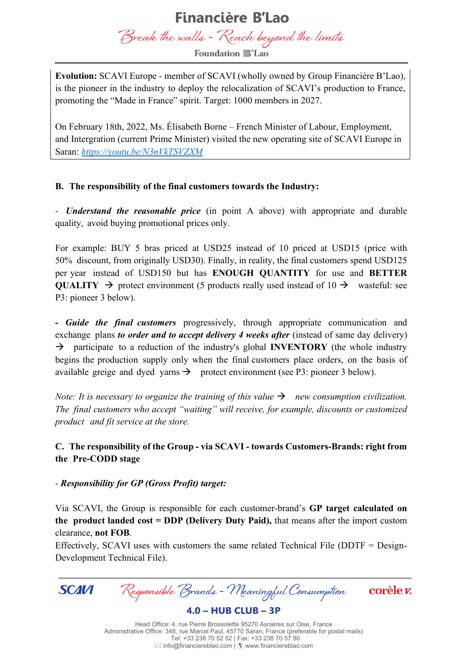Break the walls - Reach beyond the limits

**Foundation ■'Lao** 

**Evolution:** SCAVI Europe - member of SCAVI (wholly owned by Group Financière B'Lao), is the pioneer in the industry to deploy the relocalization of SCAVI's production to France, promoting the "Made in France" spirit. Target: 1000 members in 2027.

On February 18th, 2022, Ms. Élisabeth Borne – French Minister of Labour, Employment, and Intergration (current Prime Minister) visited the new operating site of SCAVI Europe in Saran: *<https://youtu.be/N3nVkTSVZXM>*

#### **B. The responsibility of the final customers towards the Industry:**

*- Understand the reasonable price* (in point A above) with appropriate and durable quality, avoid buying promotional prices only.

For example: BUY 5 bras priced at USD25 instead of 10 priced at USD15 (price with 50% discount, from originally USD30). Finally, in reality, the final customers spend USD125 per year instead of USD150 but has **ENOUGH QUANTITY** for use and **BETTER QUALITY**  $\rightarrow$  protect environment (5 products really used instead of 10  $\rightarrow$  wasteful: see P3: pioneer 3 below).

*- Guide the final customers* progressively, through appropriate communication and exchange plans *to order and to accept delivery 4 weeks after* (instead of same day delivery) → participate to a reduction of the industry's global **INVENTORY** (the whole industry begins the production supply only when the final customers place orders, on the basis of available greige and dyed yarns  $\rightarrow$  protect environment (see P3: pioneer 3 below).

*Note:* It is necessary to organize the training of this value  $\rightarrow$  new consumption civilization. *The final customers who accept "waiting" will receive, for example, discounts or customized product and fit service at the store.*

#### **C. The responsibility of the Group - via SCAVI - towards Customers-Brands: right from the Pre-CODD stage**

#### *- Responsibility for GP (Gross Profit) target:*

Via SCAVI, the Group is responsible for each customer-brand's **GP target calculated on the product landed cost = DDP (Delivery Duty Paid),** that means after the import custom clearance, **not FOB**.

Effectively, SCAVI uses with customers the same related Technical File (DDTF = Design-Development Technical File).

**SCAVI** 

Responsible Brands - Meaningful Consumption

corèle v.

 $4.0 - HUB CLUB - 3P$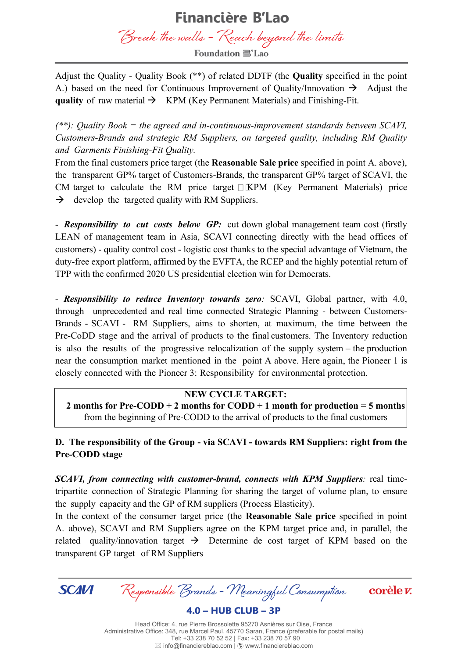Break the walls - Reach beyond the limits

**Foundation ■'Lao** 

Adjust the Quality - Quality Book (\*\*) of related DDTF (the **Quality** specified in the point A.) based on the need for Continuous Improvement of Quality/Innovation  $\rightarrow$  Adjust the **quality** of raw material → KPM (Key Permanent Materials) and Finishing-Fit.

*(\*\*): Quality Book = the agreed and in-continuous-improvement standards between SCAVI, Customers-Brands and strategic RM Suppliers, on targeted quality, including RM Quality and Garments Finishing-Fit Quality.*

From the final customers price target (the **Reasonable Sale price** specified in point A. above), the transparent GP% target of Customers-Brands, the transparent GP% target of SCAVI, the CM target to calculate the RM price target  $\Box$  KPM (Key Permanent Materials) price  $\rightarrow$  develop the targeted quality with RM Suppliers.

- *Responsibility to cut costs below GP:* cut down global management team cost (firstly LEAN of management team in Asia, SCAVI connecting directly with the head offices of customers) - quality control cost - logistic cost thanks to the special advantage of Vietnam, the duty-free export platform, affirmed by the EVFTA, the RCEP and the highly potential return of TPP with the confirmed 2020 US presidential election win for Democrats.

*- Responsibility to reduce Inventory towards zero:* SCAVI, Global partner, with 4.0, through unprecedented and real time connected Strategic Planning - between Customers-Brands - SCAVI - RM Suppliers, aims to shorten, at maximum, the time between the Pre-CoDD stage and the arrival of products to the final customers. The Inventory reduction is also the results of the progressive relocalization of the supply system – the production near the consumption market mentioned in the point A above. Here again, the Pioneer 1 is closely connected with the Pioneer 3: Responsibility for environmental protection.

#### **NEW CYCLE TARGET:**

**2 months for Pre-CODD + 2 months for CODD + 1 month for production = 5 months** from the beginning of Pre-CODD to the arrival of products to the final customers

**D. The responsibility of the Group - via SCAVI - towards RM Suppliers: right from the Pre-CODD stage**

*SCAVI, from connecting with customer-brand, connects with KPM Suppliers:* real timetripartite connection of Strategic Planning for sharing the target of volume plan, to ensure the supply capacity and the GP of RM suppliers (Process Elasticity).

In the context of the consumer target price (the **Reasonable Sale price** specified in point A. above), SCAVI and RM Suppliers agree on the KPM target price and, in parallel, the related quality/innovation target  $\rightarrow$  Determine de cost target of KPM based on the transparent GP target of RM Suppliers



Responsible Brands - Meaningful Consumption

corèle v.

 $4.0 - HUB CLUB - 3P$ 

Head Office: 4, rue Pierre Brossolette 95270 Asnières sur Oise, France Administrative Office: 348, rue Marcel Paul, 45770 Saran, France (preferable for postal mails) Tel: +33 238 70 52 52 | Fax: +33 238 70 57 90  $\boxtimes$  info@financiereblao.com  $|$   $\hat{\textbf{F}}$  www.financiereblao.com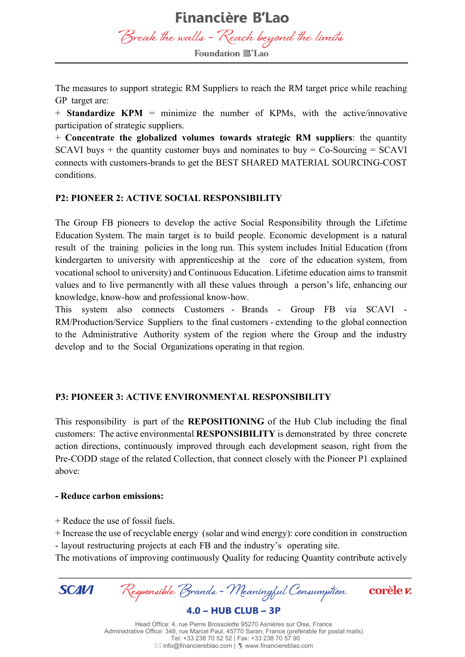**Financière B'Lao** Break the walls - Reach beyond the limits **Foundation ■'Lao** 

The measures to support strategic RM Suppliers to reach the RM target price while reaching GP target are:

+ **Standardize KPM** = minimize the number of KPMs, with the active/innovative participation of strategic suppliers.

+ **Concentrate the globalized volumes towards strategic RM suppliers**: the quantity SCAVI buys  $+$  the quantity customer buys and nominates to buy  $=$  Co-Sourcing  $=$  SCAVI connects with customers-brands to get the BEST SHARED MATERIAL SOURCING-COST conditions.

#### **P2: PIONEER 2: ACTIVE SOCIAL RESPONSIBILITY**

The Group FB pioneers to develop the active Social Responsibility through the Lifetime Education System. The main target is to build people. Economic development is a natural result of the training policies in the long run. This system includes Initial Education (from kindergarten to university with apprenticeship at the core of the education system, from vocational school to university) and Continuous Education. Lifetime education aims to transmit values and to live permanently with all these values through a person's life, enhancing our knowledge, know-how and professional know-how.

This system also connects Customers - Brands - Group FB via SCAVI - RM/Production/Service Suppliers to the final customers - extending to the global connection to the Administrative Authority system of the region where the Group and the industry develop and to the Social Organizations operating in that region.

#### **P3: PIONEER 3: ACTIVE ENVIRONMENTAL RESPONSIBILITY**

This responsibility is part of the **REPOSITIONING** of the Hub Club including the final customers: The active environmental **RESPONSIBILITY** is demonstrated by three concrete action directions, continuously improved through each development season, right from the Pre-CODD stage of the related Collection, that connect closely with the Pioneer P1 explained above:

#### **- Reduce carbon emissions:**

+ Reduce the use of fossil fuels.

+ Increase the use of recyclable energy (solar and wind energy): core condition in construction - layout restructuring projects at each FB and the industry's operating site.

The motivations of improving continuously Quality for reducing Quantity contribute actively

Responsible Brands - Meaningful Consumption **SCAVI** corèle v.  $4.0 - HUB CLUB - 3P$ 

Head Office: 4, rue Pierre Brossolette 95270 Asnières sur Oise, France Administrative Office: 348, rue Marcel Paul, 45770 Saran, France (preferable for postal mails) Tel: +33 238 70 52 52 | Fax: +33 238 70 57 90  $\boxtimes$  info@financiereblao.com  $|$   $\ddot{\odot}$  www.financiereblao.com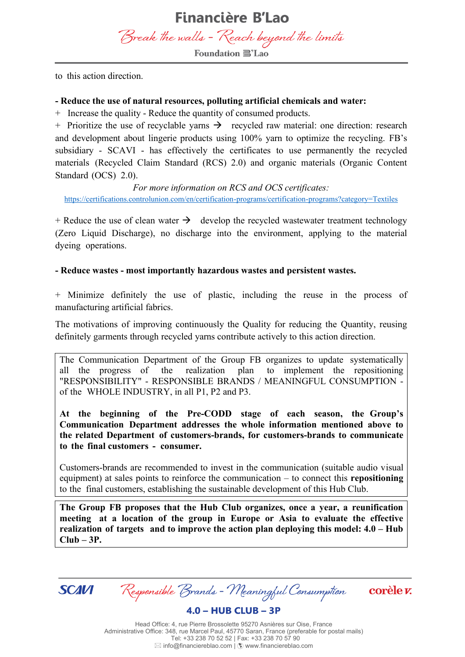to this action direction.

#### **- Reduce the use of natural resources, polluting artificial chemicals and water:**

+ Increase the quality - Reduce the quantity of consumed products.

+ Prioritize the use of recyclable yarns  $\rightarrow$  recycled raw material: one direction: research and development about lingerie products using 100% yarn to optimize the recycling. FB's subsidiary - SCAVI - has effectively the certificates to use permanently the recycled materials (Recycled Claim Standard (RCS) 2.0) and organic materials (Organic Content Standard (OCS) 2.0).

*For more information on RCS and OCS certificates:* <https://certifications.controlunion.com/en/certification-programs/certification-programs?category=Textiles>

 $+$  Reduce the use of clean water  $\rightarrow$  develop the recycled wastewater treatment technology (Zero Liquid Discharge), no discharge into the environment, applying to the material dyeing operations.

**- Reduce wastes - most importantly hazardous wastes and persistent wastes.**

+ Minimize definitely the use of plastic, including the reuse in the process of manufacturing artificial fabrics.

The motivations of improving continuously the Quality for reducing the Quantity, reusing definitely garments through recycled yarns contribute actively to this action direction.

The Communication Department of the Group FB organizes to update systematically all the progress of the realization plan to implement the repositioning "RESPONSIBILITY" - RESPONSIBLE BRANDS / MEANINGFUL CONSUMPTION of the WHOLE INDUSTRY, in all P1, P2 and P3.

**At the beginning of the Pre-CODD stage of each season, the Group's Communication Department addresses the whole information mentioned above to the related Department of customers-brands, for customers-brands to communicate to the final customers - consumer.**

Customers-brands are recommended to invest in the communication (suitable audio visual equipment) at sales points to reinforce the communication – to connect this **repositioning** to the final customers, establishing the sustainable development of this Hub Club.

**The Group FB proposes that the Hub Club organizes, once a year, a reunification meeting at a location of the group in Europe or Asia to evaluate the effective realization of targets and to improve the action plan deploying this model: 4.0 – Hub Club – 3P.**



Responsible Brands - Meaningful Consumption

corèle v.

 $4.0 - HUB CLUB - 3P$ 

Head Office: 4, rue Pierre Brossolette 95270 Asnières sur Oise, France Administrative Office: 348, rue Marcel Paul, 45770 Saran, France (preferable for postal mails) Tel: +33 238 70 52 52 | Fax: +33 238 70 57 90  $\boxtimes$  info@financiereblao.com  $|$   $\ddot{\odot}$  www.financiereblao.com